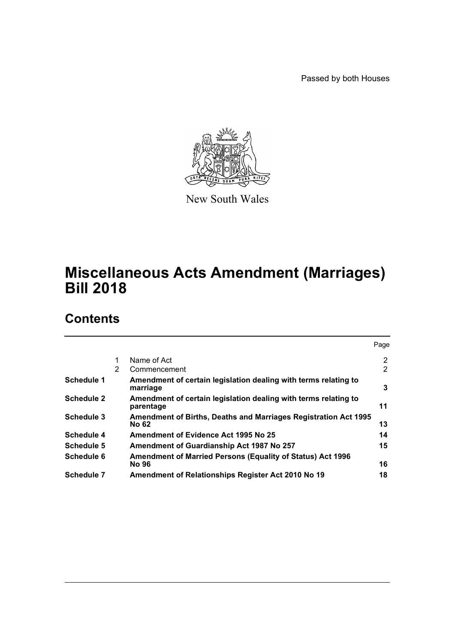Passed by both Houses



New South Wales

# **Miscellaneous Acts Amendment (Marriages) Bill 2018**

# **Contents**

|                   |   |                                                                              | Page |
|-------------------|---|------------------------------------------------------------------------------|------|
|                   | 1 | Name of Act                                                                  | 2    |
|                   | 2 | Commencement                                                                 | 2    |
| Schedule 1        |   | Amendment of certain legislation dealing with terms relating to<br>marriage  | 3    |
| <b>Schedule 2</b> |   | Amendment of certain legislation dealing with terms relating to<br>parentage | 11   |
| <b>Schedule 3</b> |   | Amendment of Births, Deaths and Marriages Registration Act 1995<br>No 62     | 13   |
| Schedule 4        |   | Amendment of Evidence Act 1995 No 25                                         | 14   |
| Schedule 5        |   | Amendment of Guardianship Act 1987 No 257                                    | 15   |
| Schedule 6        |   | <b>Amendment of Married Persons (Equality of Status) Act 1996</b><br>No 96   | 16   |
| Schedule 7        |   | Amendment of Relationships Register Act 2010 No 19                           | 18   |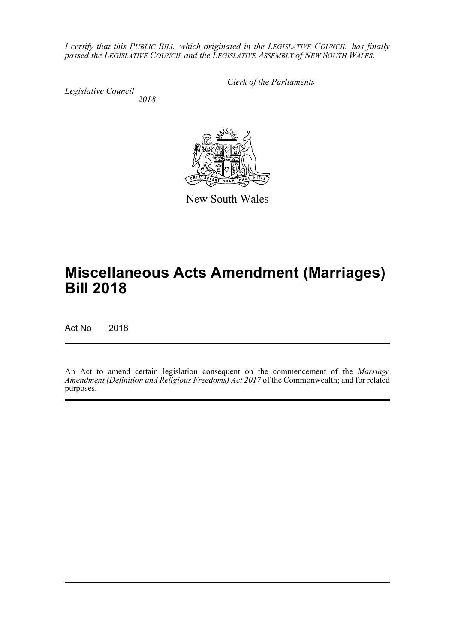*I certify that this PUBLIC BILL, which originated in the LEGISLATIVE COUNCIL, has finally passed the LEGISLATIVE COUNCIL and the LEGISLATIVE ASSEMBLY of NEW SOUTH WALES.*

*Legislative Council*

*Clerk of the Parliaments*

*2018*



New South Wales

# **Miscellaneous Acts Amendment (Marriages) Bill 2018**

Act No , 2018

An Act to amend certain legislation consequent on the commencement of the *Marriage Amendment (Definition and Religious Freedoms) Act 2017* of the Commonwealth; and for related purposes.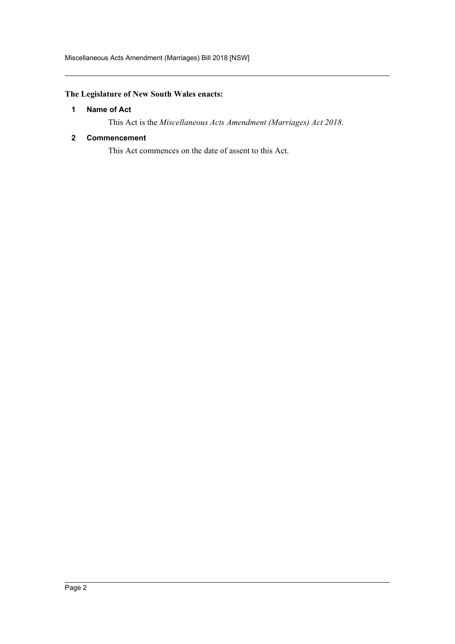# <span id="page-2-0"></span>**The Legislature of New South Wales enacts:**

#### **1 Name of Act**

This Act is the *Miscellaneous Acts Amendment (Marriages) Act 2018*.

#### <span id="page-2-1"></span>**2 Commencement**

This Act commences on the date of assent to this Act.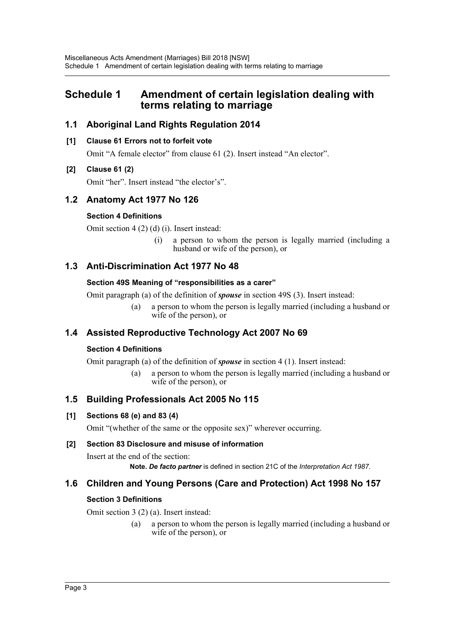# <span id="page-3-0"></span>**Schedule 1 Amendment of certain legislation dealing with terms relating to marriage**

# **1.1 Aboriginal Land Rights Regulation 2014**

### **[1] Clause 61 Errors not to forfeit vote**

Omit "A female elector" from clause 61 (2). Insert instead "An elector".

### **[2] Clause 61 (2)**

Omit "her". Insert instead "the elector's".

# **1.2 Anatomy Act 1977 No 126**

### **Section 4 Definitions**

Omit section 4 (2) (d) (i). Insert instead:

(i) a person to whom the person is legally married (including a husband or wife of the person), or

# **1.3 Anti-Discrimination Act 1977 No 48**

#### **Section 49S Meaning of "responsibilities as a carer"**

Omit paragraph (a) of the definition of *spouse* in section 49S (3). Insert instead:

(a) a person to whom the person is legally married (including a husband or wife of the person), or

# **1.4 Assisted Reproductive Technology Act 2007 No 69**

#### **Section 4 Definitions**

Omit paragraph (a) of the definition of *spouse* in section 4 (1). Insert instead:

(a) a person to whom the person is legally married (including a husband or wife of the person), or

# **1.5 Building Professionals Act 2005 No 115**

# **[1] Sections 68 (e) and 83 (4)**

Omit "(whether of the same or the opposite sex)" wherever occurring.

#### **[2] Section 83 Disclosure and misuse of information**

Insert at the end of the section: **Note.** *De facto partner* is defined in section 21C of the *Interpretation Act 1987*.

# **1.6 Children and Young Persons (Care and Protection) Act 1998 No 157**

#### **Section 3 Definitions**

Omit section 3 (2) (a). Insert instead:

(a) a person to whom the person is legally married (including a husband or wife of the person), or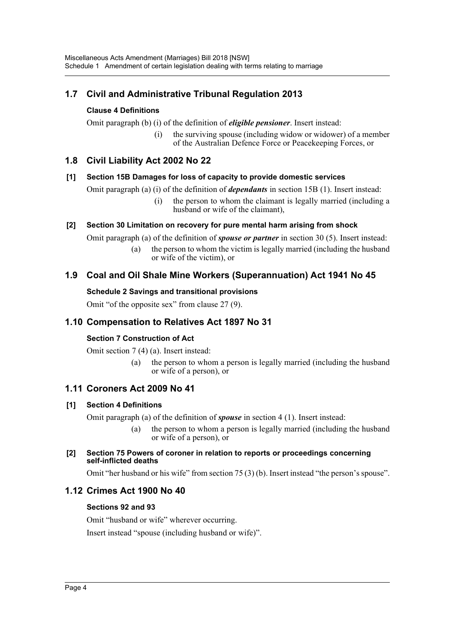# **1.7 Civil and Administrative Tribunal Regulation 2013**

### **Clause 4 Definitions**

Omit paragraph (b) (i) of the definition of *eligible pensioner*. Insert instead:

(i) the surviving spouse (including widow or widower) of a member of the Australian Defence Force or Peacekeeping Forces, or

# **1.8 Civil Liability Act 2002 No 22**

#### **[1] Section 15B Damages for loss of capacity to provide domestic services**

Omit paragraph (a) (i) of the definition of *dependants* in section 15B (1). Insert instead:

(i) the person to whom the claimant is legally married (including a husband or wife of the claimant),

### **[2] Section 30 Limitation on recovery for pure mental harm arising from shock**

Omit paragraph (a) of the definition of *spouse or partner* in section 30 (5). Insert instead:

(a) the person to whom the victim is legally married (including the husband or wife of the victim), or

# **1.9 Coal and Oil Shale Mine Workers (Superannuation) Act 1941 No 45**

#### **Schedule 2 Savings and transitional provisions**

Omit "of the opposite sex" from clause 27 (9).

# **1.10 Compensation to Relatives Act 1897 No 31**

#### **Section 7 Construction of Act**

Omit section 7 (4) (a). Insert instead:

(a) the person to whom a person is legally married (including the husband or wife of a person), or

# **1.11 Coroners Act 2009 No 41**

#### **[1] Section 4 Definitions**

Omit paragraph (a) of the definition of *spouse* in section 4 (1). Insert instead:

(a) the person to whom a person is legally married (including the husband or wife of a person), or

#### **[2] Section 75 Powers of coroner in relation to reports or proceedings concerning self-inflicted deaths**

Omit "her husband or his wife" from section 75 (3) (b). Insert instead "the person's spouse".

# **1.12 Crimes Act 1900 No 40**

#### **Sections 92 and 93**

Omit "husband or wife" wherever occurring.

Insert instead "spouse (including husband or wife)".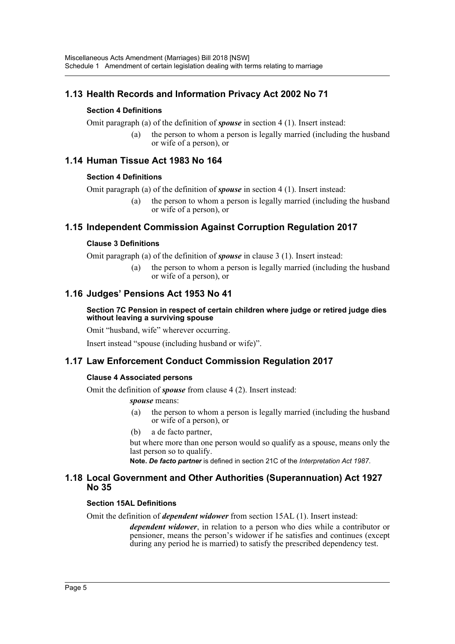# **1.13 Health Records and Information Privacy Act 2002 No 71**

### **Section 4 Definitions**

Omit paragraph (a) of the definition of *spouse* in section 4 (1). Insert instead:

(a) the person to whom a person is legally married (including the husband or wife of a person), or

# **1.14 Human Tissue Act 1983 No 164**

#### **Section 4 Definitions**

Omit paragraph (a) of the definition of *spouse* in section 4 (1). Insert instead:

(a) the person to whom a person is legally married (including the husband or wife of a person), or

# **1.15 Independent Commission Against Corruption Regulation 2017**

#### **Clause 3 Definitions**

Omit paragraph (a) of the definition of *spouse* in clause 3 (1). Insert instead:

(a) the person to whom a person is legally married (including the husband or wife of a person), or

# **1.16 Judges' Pensions Act 1953 No 41**

#### **Section 7C Pension in respect of certain children where judge or retired judge dies without leaving a surviving spouse**

Omit "husband, wife" wherever occurring.

Insert instead "spouse (including husband or wife)".

# **1.17 Law Enforcement Conduct Commission Regulation 2017**

#### **Clause 4 Associated persons**

Omit the definition of *spouse* from clause 4 (2). Insert instead:

*spouse* means:

- (a) the person to whom a person is legally married (including the husband or wife of a person), or
- (b) a de facto partner,

but where more than one person would so qualify as a spouse, means only the last person so to qualify.

**Note.** *De facto partner* is defined in section 21C of the *Interpretation Act 1987*.

#### **1.18 Local Government and Other Authorities (Superannuation) Act 1927 No 35**

#### **Section 15AL Definitions**

Omit the definition of *dependent widower* from section 15AL (1). Insert instead:

*dependent widower*, in relation to a person who dies while a contributor or pensioner, means the person's widower if he satisfies and continues (except during any period he is married) to satisfy the prescribed dependency test.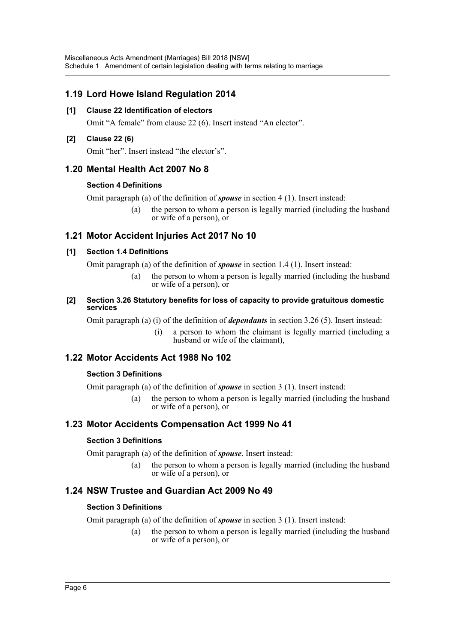# **1.19 Lord Howe Island Regulation 2014**

### **[1] Clause 22 Identification of electors**

Omit "A female" from clause 22 (6). Insert instead "An elector".

### **[2] Clause 22 (6)**

Omit "her". Insert instead "the elector's".

# **1.20 Mental Health Act 2007 No 8**

### **Section 4 Definitions**

Omit paragraph (a) of the definition of *spouse* in section 4 (1). Insert instead:

(a) the person to whom a person is legally married (including the husband or wife of a person), or

# **1.21 Motor Accident Injuries Act 2017 No 10**

### **[1] Section 1.4 Definitions**

Omit paragraph (a) of the definition of *spouse* in section 1.4 (1). Insert instead:

- (a) the person to whom a person is legally married (including the husband or wife of a person), or
- **[2] Section 3.26 Statutory benefits for loss of capacity to provide gratuitous domestic services**

Omit paragraph (a) (i) of the definition of *dependants* in section 3.26 (5). Insert instead:

(i) a person to whom the claimant is legally married (including a husband or wife of the claimant),

# **1.22 Motor Accidents Act 1988 No 102**

# **Section 3 Definitions**

Omit paragraph (a) of the definition of *spouse* in section 3 (1). Insert instead:

(a) the person to whom a person is legally married (including the husband or wife of a person), or

# **1.23 Motor Accidents Compensation Act 1999 No 41**

# **Section 3 Definitions**

Omit paragraph (a) of the definition of *spouse*. Insert instead:

(a) the person to whom a person is legally married (including the husband or wife of a person), or

# **1.24 NSW Trustee and Guardian Act 2009 No 49**

# **Section 3 Definitions**

Omit paragraph (a) of the definition of *spouse* in section 3 (1). Insert instead:

(a) the person to whom a person is legally married (including the husband or wife of a person), or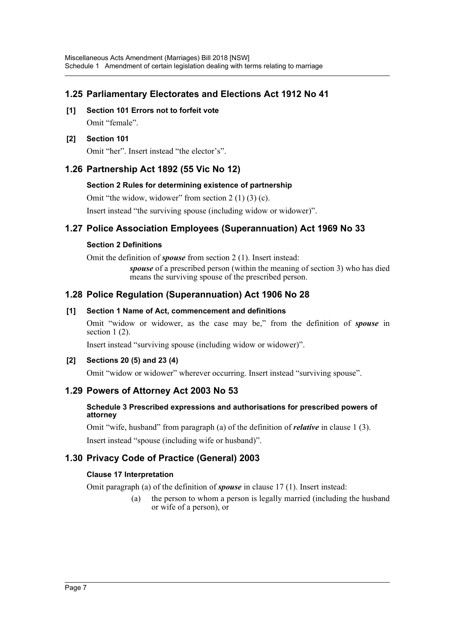# **1.25 Parliamentary Electorates and Elections Act 1912 No 41**

**[1] Section 101 Errors not to forfeit vote** Omit "female".

#### **[2] Section 101**

Omit "her". Insert instead "the elector's".

# **1.26 Partnership Act 1892 (55 Vic No 12)**

#### **Section 2 Rules for determining existence of partnership**

Omit "the widow, widower" from section  $2(1)(3)(c)$ .

Insert instead "the surviving spouse (including widow or widower)".

### **1.27 Police Association Employees (Superannuation) Act 1969 No 33**

#### **Section 2 Definitions**

Omit the definition of *spouse* from section 2 (1). Insert instead:

*spouse* of a prescribed person (within the meaning of section 3) who has died means the surviving spouse of the prescribed person.

#### **1.28 Police Regulation (Superannuation) Act 1906 No 28**

#### **[1] Section 1 Name of Act, commencement and definitions**

Omit "widow or widower, as the case may be," from the definition of *spouse* in section 1 (2).

Insert instead "surviving spouse (including widow or widower)".

#### **[2] Sections 20 (5) and 23 (4)**

Omit "widow or widower" wherever occurring. Insert instead "surviving spouse".

#### **1.29 Powers of Attorney Act 2003 No 53**

#### **Schedule 3 Prescribed expressions and authorisations for prescribed powers of attorney**

Omit "wife, husband" from paragraph (a) of the definition of *relative* in clause 1 (3).

Insert instead "spouse (including wife or husband)".

# **1.30 Privacy Code of Practice (General) 2003**

#### **Clause 17 Interpretation**

Omit paragraph (a) of the definition of *spouse* in clause 17 (1). Insert instead:

(a) the person to whom a person is legally married (including the husband or wife of a person), or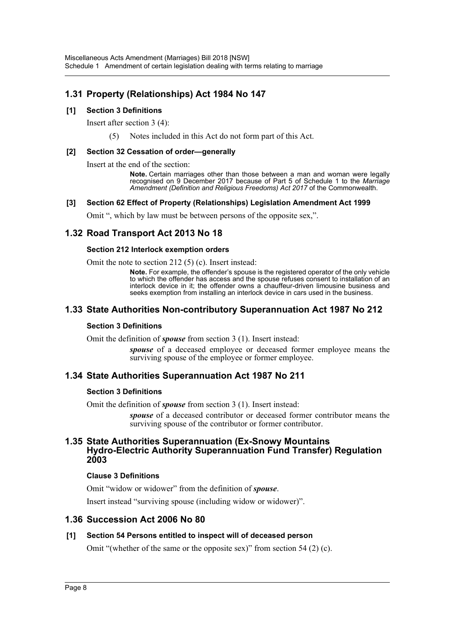# **1.31 Property (Relationships) Act 1984 No 147**

#### **[1] Section 3 Definitions**

Insert after section 3 (4):

(5) Notes included in this Act do not form part of this Act.

#### **[2] Section 32 Cessation of order—generally**

Insert at the end of the section:

**Note.** Certain marriages other than those between a man and woman were legally recognised on 9 December 2017 because of Part 5 of Schedule 1 to the *Marriage Amendment (Definition and Religious Freedoms) Act 2017* of the Commonwealth.

#### **[3] Section 62 Effect of Property (Relationships) Legislation Amendment Act 1999**

Omit ", which by law must be between persons of the opposite sex,".

# **1.32 Road Transport Act 2013 No 18**

#### **Section 212 Interlock exemption orders**

Omit the note to section 212 (5) (c). Insert instead:

**Note.** For example, the offender's spouse is the registered operator of the only vehicle to which the offender has access and the spouse refuses consent to installation of an interlock device in it; the offender owns a chauffeur-driven limousine business and seeks exemption from installing an interlock device in cars used in the business.

### **1.33 State Authorities Non-contributory Superannuation Act 1987 No 212**

#### **Section 3 Definitions**

Omit the definition of *spouse* from section 3 (1). Insert instead:

*spouse* of a deceased employee or deceased former employee means the surviving spouse of the employee or former employee.

#### **1.34 State Authorities Superannuation Act 1987 No 211**

#### **Section 3 Definitions**

Omit the definition of *spouse* from section 3 (1). Insert instead:

*spouse* of a deceased contributor or deceased former contributor means the surviving spouse of the contributor or former contributor.

#### **1.35 State Authorities Superannuation (Ex-Snowy Mountains Hydro-Electric Authority Superannuation Fund Transfer) Regulation 2003**

#### **Clause 3 Definitions**

Omit "widow or widower" from the definition of *spouse*.

Insert instead "surviving spouse (including widow or widower)".

#### **1.36 Succession Act 2006 No 80**

#### **[1] Section 54 Persons entitled to inspect will of deceased person**

Omit "(whether of the same or the opposite sex)" from section 54 (2) (c).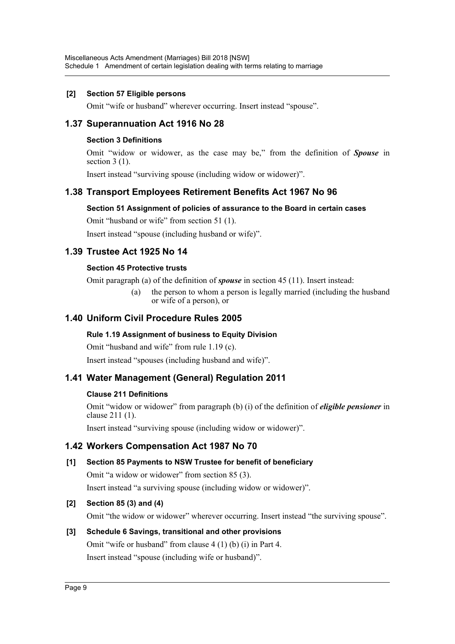#### **[2] Section 57 Eligible persons**

Omit "wife or husband" wherever occurring. Insert instead "spouse".

# **1.37 Superannuation Act 1916 No 28**

#### **Section 3 Definitions**

Omit "widow or widower, as the case may be," from the definition of *Spouse* in section 3 (1).

Insert instead "surviving spouse (including widow or widower)".

# **1.38 Transport Employees Retirement Benefits Act 1967 No 96**

#### **Section 51 Assignment of policies of assurance to the Board in certain cases**

Omit "husband or wife" from section 51 (1).

Insert instead "spouse (including husband or wife)".

# **1.39 Trustee Act 1925 No 14**

#### **Section 45 Protective trusts**

Omit paragraph (a) of the definition of *spouse* in section 45 (11). Insert instead:

(a) the person to whom a person is legally married (including the husband or wife of a person), or

# **1.40 Uniform Civil Procedure Rules 2005**

#### **Rule 1.19 Assignment of business to Equity Division**

Omit "husband and wife" from rule 1.19 (c).

Insert instead "spouses (including husband and wife)".

# **1.41 Water Management (General) Regulation 2011**

#### **Clause 211 Definitions**

Omit "widow or widower" from paragraph (b) (i) of the definition of *eligible pensioner* in clause 211 (1).

Insert instead "surviving spouse (including widow or widower)".

# **1.42 Workers Compensation Act 1987 No 70**

#### **[1] Section 85 Payments to NSW Trustee for benefit of beneficiary**

Omit "a widow or widower" from section 85 (3).

Insert instead "a surviving spouse (including widow or widower)".

#### **[2] Section 85 (3) and (4)**

Omit "the widow or widower" wherever occurring. Insert instead "the surviving spouse".

#### **[3] Schedule 6 Savings, transitional and other provisions**

Omit "wife or husband" from clause 4 (1) (b) (i) in Part 4.

Insert instead "spouse (including wife or husband)".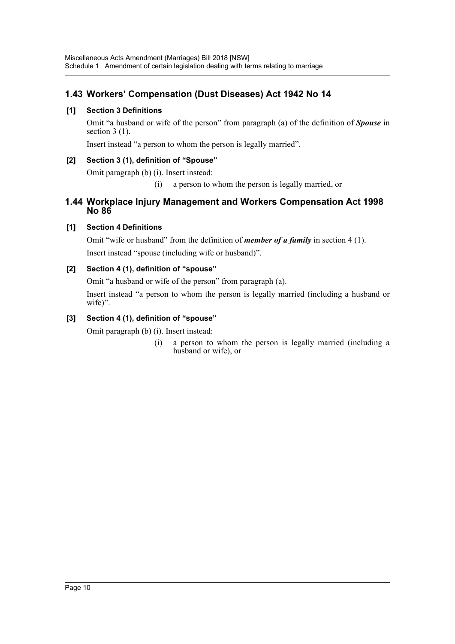# **1.43 Workers' Compensation (Dust Diseases) Act 1942 No 14**

### **[1] Section 3 Definitions**

Omit "a husband or wife of the person" from paragraph (a) of the definition of *Spouse* in section 3 (1).

Insert instead "a person to whom the person is legally married".

### **[2] Section 3 (1), definition of "Spouse"**

Omit paragraph (b) (i). Insert instead:

(i) a person to whom the person is legally married, or

# **1.44 Workplace Injury Management and Workers Compensation Act 1998 No 86**

# **[1] Section 4 Definitions**

Omit "wife or husband" from the definition of *member of a family* in section 4 (1). Insert instead "spouse (including wife or husband)".

# **[2] Section 4 (1), definition of "spouse"**

Omit "a husband or wife of the person" from paragraph (a).

Insert instead "a person to whom the person is legally married (including a husband or wife)".

### **[3] Section 4 (1), definition of "spouse"**

Omit paragraph (b) (i). Insert instead:

(i) a person to whom the person is legally married (including a husband or wife), or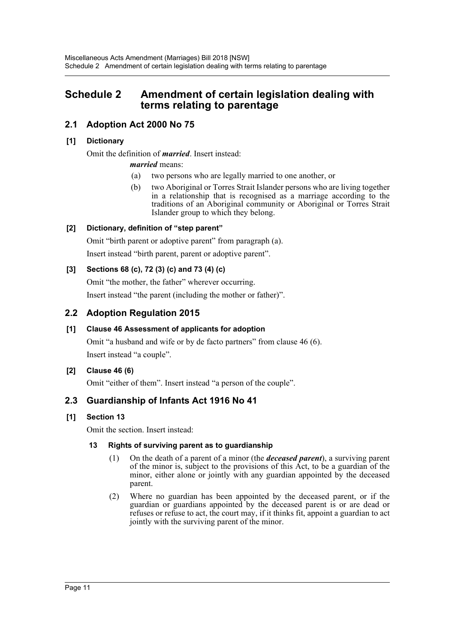# <span id="page-11-0"></span>**Schedule 2 Amendment of certain legislation dealing with terms relating to parentage**

# **2.1 Adoption Act 2000 No 75**

### **[1] Dictionary**

Omit the definition of *married*. Insert instead:

### *married* means:

- (a) two persons who are legally married to one another, or
- (b) two Aboriginal or Torres Strait Islander persons who are living together in a relationship that is recognised as a marriage according to the traditions of an Aboriginal community or Aboriginal or Torres Strait Islander group to which they belong.

### **[2] Dictionary, definition of "step parent"**

Omit "birth parent or adoptive parent" from paragraph (a). Insert instead "birth parent, parent or adoptive parent".

### **[3] Sections 68 (c), 72 (3) (c) and 73 (4) (c)**

Omit "the mother, the father" wherever occurring. Insert instead "the parent (including the mother or father)".

# **2.2 Adoption Regulation 2015**

# **[1] Clause 46 Assessment of applicants for adoption**

Omit "a husband and wife or by de facto partners" from clause 46 (6). Insert instead "a couple".

#### **[2] Clause 46 (6)**

Omit "either of them". Insert instead "a person of the couple".

# **2.3 Guardianship of Infants Act 1916 No 41**

#### **[1] Section 13**

Omit the section. Insert instead:

#### **13 Rights of surviving parent as to guardianship**

- (1) On the death of a parent of a minor (the *deceased parent*), a surviving parent of the minor is, subject to the provisions of this Act, to be a guardian of the minor, either alone or jointly with any guardian appointed by the deceased parent.
- (2) Where no guardian has been appointed by the deceased parent, or if the guardian or guardians appointed by the deceased parent is or are dead or refuses or refuse to act, the court may, if it thinks fit, appoint a guardian to act jointly with the surviving parent of the minor.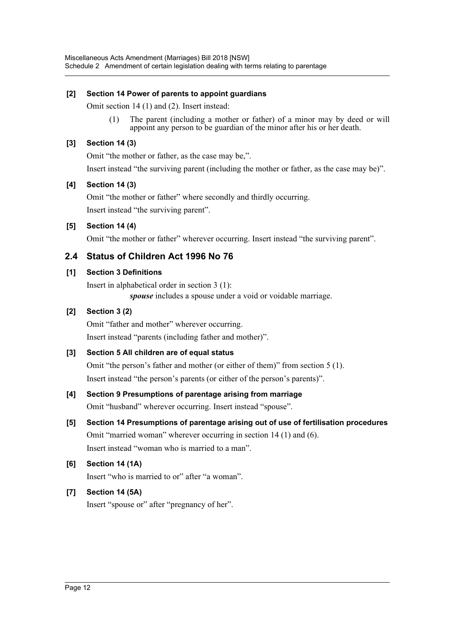### **[2] Section 14 Power of parents to appoint guardians**

Omit section 14 (1) and (2). Insert instead:

(1) The parent (including a mother or father) of a minor may by deed or will appoint any person to be guardian of the minor after his or her death.

### **[3] Section 14 (3)**

Omit "the mother or father, as the case may be,". Insert instead "the surviving parent (including the mother or father, as the case may be)".

#### **[4] Section 14 (3)**

Omit "the mother or father" where secondly and thirdly occurring. Insert instead "the surviving parent".

# **[5] Section 14 (4)**

Omit "the mother or father" wherever occurring. Insert instead "the surviving parent".

# **2.4 Status of Children Act 1996 No 76**

### **[1] Section 3 Definitions**

Insert in alphabetical order in section 3 (1):

*spouse* includes a spouse under a void or voidable marriage.

# **[2] Section 3 (2)**

Omit "father and mother" wherever occurring. Insert instead "parents (including father and mother)".

# **[3] Section 5 All children are of equal status**

Omit "the person's father and mother (or either of them)" from section 5 (1). Insert instead "the person's parents (or either of the person's parents)".

# **[4] Section 9 Presumptions of parentage arising from marriage**

Omit "husband" wherever occurring. Insert instead "spouse".

# **[5] Section 14 Presumptions of parentage arising out of use of fertilisation procedures** Omit "married woman" wherever occurring in section 14 (1) and (6).

Insert instead "woman who is married to a man".

# **[6] Section 14 (1A)**

Insert "who is married to or" after "a woman".

# **[7] Section 14 (5A)**

Insert "spouse or" after "pregnancy of her".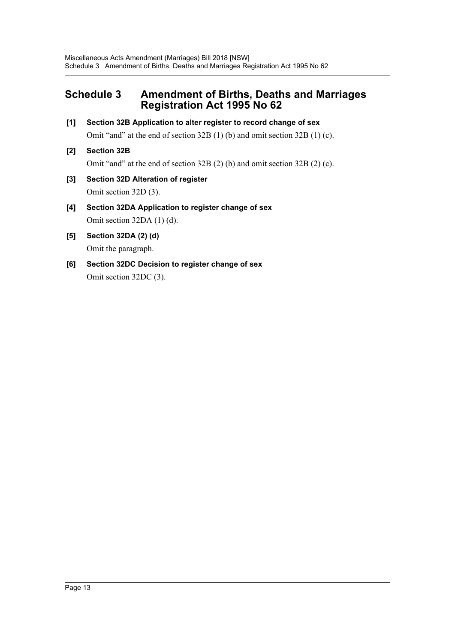# <span id="page-13-0"></span>**Schedule 3 Amendment of Births, Deaths and Marriages Registration Act 1995 No 62**

- **[1] Section 32B Application to alter register to record change of sex** Omit "and" at the end of section 32B (1) (b) and omit section 32B (1) (c).
- **[2] Section 32B**

Omit "and" at the end of section 32B (2) (b) and omit section 32B (2) (c).

- **[3] Section 32D Alteration of register** Omit section 32D (3).
- **[4] Section 32DA Application to register change of sex** Omit section 32DA (1) (d).
- **[5] Section 32DA (2) (d)** Omit the paragraph.
- **[6] Section 32DC Decision to register change of sex** Omit section 32DC (3).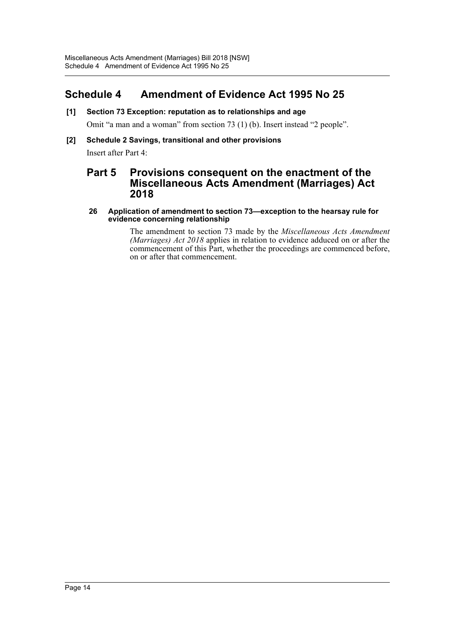# <span id="page-14-0"></span>**Schedule 4 Amendment of Evidence Act 1995 No 25**

**[1] Section 73 Exception: reputation as to relationships and age**

Omit "a man and a woman" from section 73 (1) (b). Insert instead "2 people".

**[2] Schedule 2 Savings, transitional and other provisions**

Insert after Part 4:

# **Part 5 Provisions consequent on the enactment of the Miscellaneous Acts Amendment (Marriages) Act 2018**

#### **26 Application of amendment to section 73—exception to the hearsay rule for evidence concerning relationship**

The amendment to section 73 made by the *Miscellaneous Acts Amendment (Marriages) Act 2018* applies in relation to evidence adduced on or after the commencement of this Part, whether the proceedings are commenced before, on or after that commencement.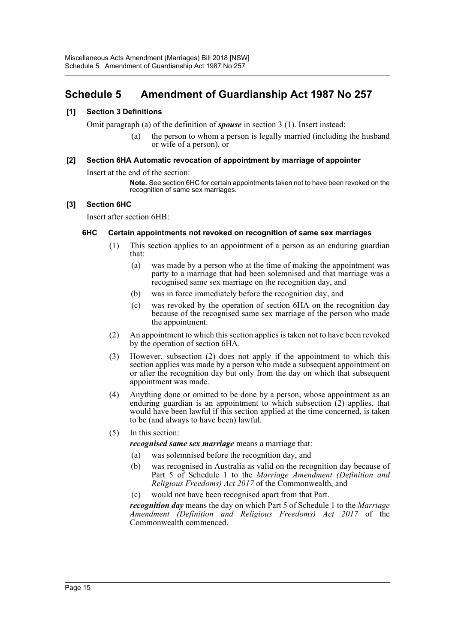# <span id="page-15-0"></span>**Schedule 5 Amendment of Guardianship Act 1987 No 257**

#### **[1] Section 3 Definitions**

Omit paragraph (a) of the definition of *spouse* in section 3 (1). Insert instead:

(a) the person to whom a person is legally married (including the husband or wife of a person), or

#### **[2] Section 6HA Automatic revocation of appointment by marriage of appointer**

Insert at the end of the section:

**Note.** See section 6HC for certain appointments taken not to have been revoked on the recognition of same sex marriages.

#### **[3] Section 6HC**

Insert after section 6HB:

#### **6HC Certain appointments not revoked on recognition of same sex marriages**

- (1) This section applies to an appointment of a person as an enduring guardian that:
	- (a) was made by a person who at the time of making the appointment was party to a marriage that had been solemnised and that marriage was a recognised same sex marriage on the recognition day, and
	- (b) was in force immediately before the recognition day, and
	- (c) was revoked by the operation of section 6HA on the recognition day because of the recognised same sex marriage of the person who made the appointment.
- (2) An appointment to which this section applies is taken not to have been revoked by the operation of section 6HA.
- (3) However, subsection (2) does not apply if the appointment to which this section applies was made by a person who made a subsequent appointment on or after the recognition day but only from the day on which that subsequent appointment was made.
- (4) Anything done or omitted to be done by a person, whose appointment as an enduring guardian is an appointment to which subsection (2) applies, that would have been lawful if this section applied at the time concerned, is taken to be (and always to have been) lawful.
- (5) In this section:

*recognised same sex marriage* means a marriage that:

- (a) was solemnised before the recognition day, and
- (b) was recognised in Australia as valid on the recognition day because of Part 5 of Schedule 1 to the *Marriage Amendment (Definition and Religious Freedoms) Act 2017* of the Commonwealth, and
- (c) would not have been recognised apart from that Part.

*recognition day* means the day on which Part 5 of Schedule 1 to the *Marriage Amendment (Definition and Religious Freedoms) Act 2017* of the Commonwealth commenced.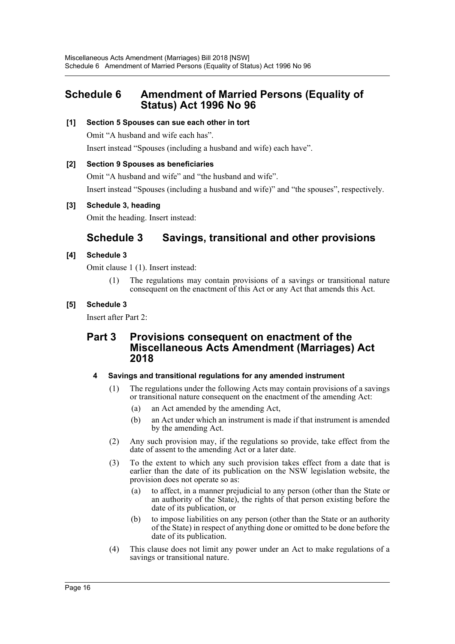# <span id="page-16-0"></span>**Schedule 6 Amendment of Married Persons (Equality of Status) Act 1996 No 96**

### **[1] Section 5 Spouses can sue each other in tort**

Omit "A husband and wife each has".

Insert instead "Spouses (including a husband and wife) each have".

### **[2] Section 9 Spouses as beneficiaries**

Omit "A husband and wife" and "the husband and wife". Insert instead "Spouses (including a husband and wife)" and "the spouses", respectively.

### **[3] Schedule 3, heading**

Omit the heading. Insert instead:

# **Schedule 3 Savings, transitional and other provisions**

### **[4] Schedule 3**

Omit clause 1 (1). Insert instead:

The regulations may contain provisions of a savings or transitional nature consequent on the enactment of this Act or any Act that amends this Act.

### **[5] Schedule 3**

Insert after Part 2:

# **Part 3 Provisions consequent on enactment of the Miscellaneous Acts Amendment (Marriages) Act 2018**

#### **4 Savings and transitional regulations for any amended instrument**

- (1) The regulations under the following Acts may contain provisions of a savings or transitional nature consequent on the enactment of the amending Act:
	- (a) an Act amended by the amending Act,
	- (b) an Act under which an instrument is made if that instrument is amended by the amending Act.
- (2) Any such provision may, if the regulations so provide, take effect from the date of assent to the amending Act or a later date.
- (3) To the extent to which any such provision takes effect from a date that is earlier than the date of its publication on the NSW legislation website, the provision does not operate so as:
	- (a) to affect, in a manner prejudicial to any person (other than the State or an authority of the State), the rights of that person existing before the date of its publication, or
	- (b) to impose liabilities on any person (other than the State or an authority of the State) in respect of anything done or omitted to be done before the date of its publication.
- (4) This clause does not limit any power under an Act to make regulations of a savings or transitional nature.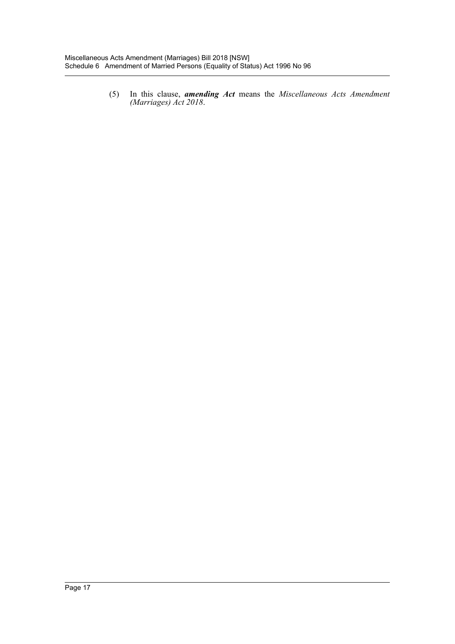(5) In this clause, *amending Act* means the *Miscellaneous Acts Amendment (Marriages) Act 2018*.